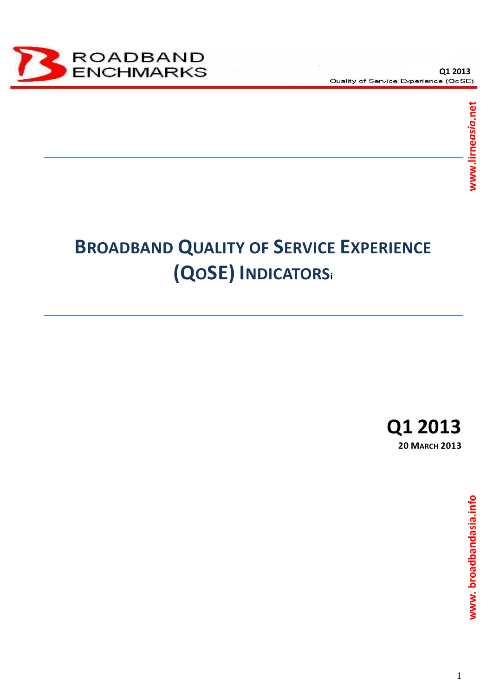

# **BROADBAND QUALITY OF SERVICE EXPERIENCE (QOSE) INDICATORS<sup>i</sup>**

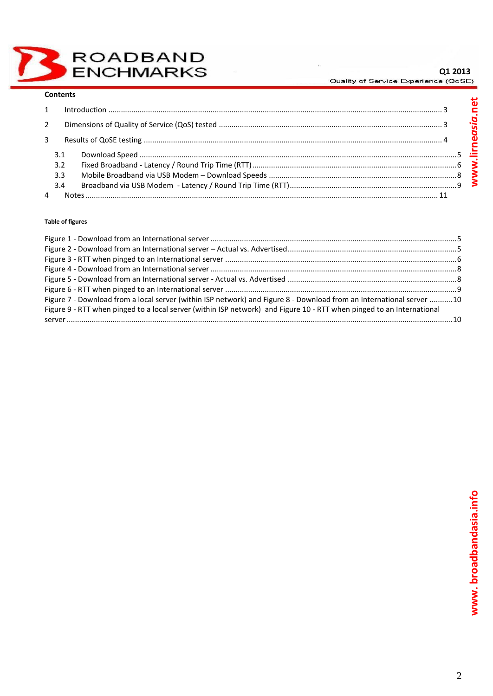ROADBAND<br>ENCHMARKS

## $Q1 2013$ <br>Quality of Service Experience (QoSE)

#### **Contents**

| $\mathbf{1}$ |     |  |  |  |  |  |
|--------------|-----|--|--|--|--|--|
| 2            |     |  |  |  |  |  |
| 3            |     |  |  |  |  |  |
|              | 3.3 |  |  |  |  |  |
|              | 3.4 |  |  |  |  |  |

#### **Table of figures**

| Figure 7 - Download from a local server (within ISP network) and Figure 8 - Download from an International server 10  |  |
|-----------------------------------------------------------------------------------------------------------------------|--|
| Figure 9 - RTT when pinged to a local server (within ISP network) and Figure 10 - RTT when pinged to an International |  |
|                                                                                                                       |  |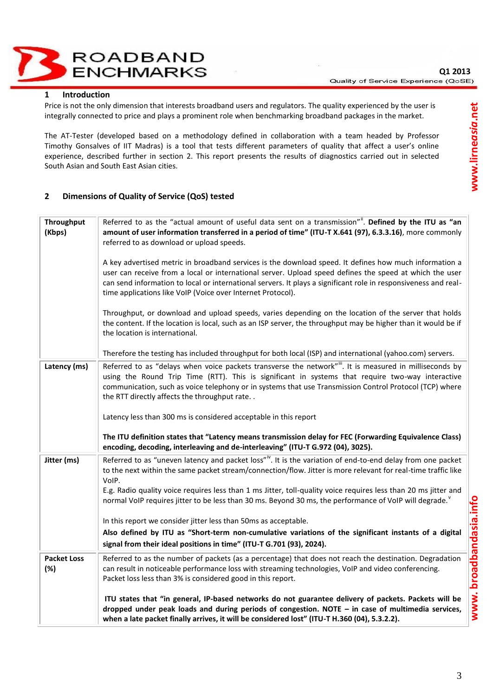**ROADBAND ENCHMARKS** 

#### <span id="page-2-0"></span>**1 Introduction**

Price is not the only dimension that interests broadband users and regulators. The quality experienced by the user is integrally connected to price and plays a prominent role when benchmarking broadband packages in the market.

The AT-Tester (developed based on a methodology defined in collaboration with a team headed by Professor Timothy Gonsalves of IIT Madras) is a tool that tests different parameters of quality that affect a user's online experience, described further in section 2. This report presents the results of diagnostics carried out in selected South Asian and South East Asian cities.

### <span id="page-2-1"></span>**2 Dimensions of Quality of Service (QoS) tested**

| Throughput<br>(Kbps)      | Referred to as the "actual amount of useful data sent on a transmission"". Defined by the ITU as "an<br>amount of user information transferred in a period of time" (ITU-T X.641 (97), 6.3.3.16), more commonly<br>referred to as download or upload speeds.                                                                                                                                                                                                                   |  |  |  |  |
|---------------------------|--------------------------------------------------------------------------------------------------------------------------------------------------------------------------------------------------------------------------------------------------------------------------------------------------------------------------------------------------------------------------------------------------------------------------------------------------------------------------------|--|--|--|--|
|                           | A key advertised metric in broadband services is the download speed. It defines how much information a<br>user can receive from a local or international server. Upload speed defines the speed at which the user<br>can send information to local or international servers. It plays a significant role in responsiveness and real-<br>time applications like VoIP (Voice over Internet Protocol).                                                                            |  |  |  |  |
|                           | Throughput, or download and upload speeds, varies depending on the location of the server that holds<br>the content. If the location is local, such as an ISP server, the throughput may be higher than it would be if<br>the location is international.                                                                                                                                                                                                                       |  |  |  |  |
|                           | Therefore the testing has included throughput for both local (ISP) and international (yahoo.com) servers.                                                                                                                                                                                                                                                                                                                                                                      |  |  |  |  |
| Latency (ms)              | Referred to as "delays when voice packets transverse the network". It is measured in milliseconds by<br>using the Round Trip Time (RTT). This is significant in systems that require two-way interactive<br>communication, such as voice telephony or in systems that use Transmission Control Protocol (TCP) where<br>the RTT directly affects the throughput rate                                                                                                            |  |  |  |  |
|                           | Latency less than 300 ms is considered acceptable in this report                                                                                                                                                                                                                                                                                                                                                                                                               |  |  |  |  |
|                           | The ITU definition states that "Latency means transmission delay for FEC (Forwarding Equivalence Class)<br>encoding, decoding, interleaving and de-interleaving" (ITU-T G.972 (04), 3025).                                                                                                                                                                                                                                                                                     |  |  |  |  |
| Jitter (ms)               | Referred to as "uneven latency and packet loss" <sup>iv</sup> . It is the variation of end-to-end delay from one packet<br>to the next within the same packet stream/connection/flow. Jitter is more relevant for real-time traffic like<br>VoIP.<br>E.g. Radio quality voice requires less than 1 ms Jitter, toll-quality voice requires less than 20 ms jitter and<br>normal VoIP requires jitter to be less than 30 ms. Beyond 30 ms, the performance of VoIP will degrade. |  |  |  |  |
|                           | In this report we consider jitter less than 50ms as acceptable.                                                                                                                                                                                                                                                                                                                                                                                                                |  |  |  |  |
|                           | Also defined by ITU as "Short-term non-cumulative variations of the significant instants of a digital                                                                                                                                                                                                                                                                                                                                                                          |  |  |  |  |
|                           | signal from their ideal positions in time" (ITU-T G.701 (93), 2024).                                                                                                                                                                                                                                                                                                                                                                                                           |  |  |  |  |
| <b>Packet Loss</b><br>(%) | Referred to as the number of packets (as a percentage) that does not reach the destination. Degradation<br>can result in noticeable performance loss with streaming technologies, VoIP and video conferencing.<br>Packet loss less than 3% is considered good in this report.                                                                                                                                                                                                  |  |  |  |  |
|                           | ITU states that "in general, IP-based networks do not guarantee delivery of packets. Packets will be<br>dropped under peak loads and during periods of congestion. NOTE - in case of multimedia services,<br>when a late packet finally arrives, it will be considered lost" (ITU-T H.360 (04), 5.3.2.2).                                                                                                                                                                      |  |  |  |  |

www.broadbandasia.info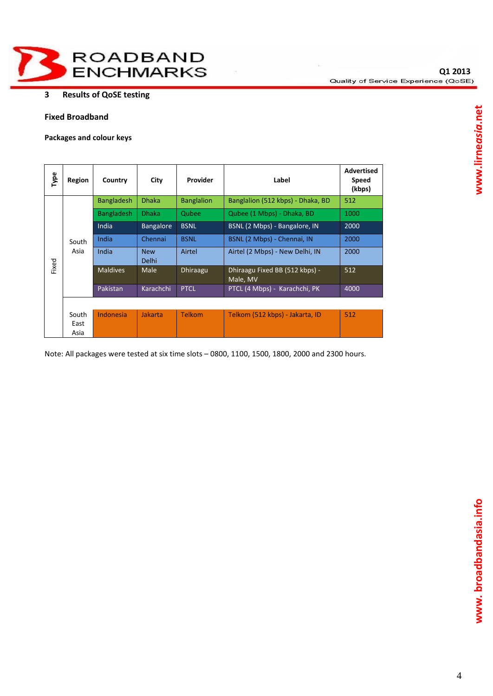

## <span id="page-3-0"></span>**3 Results of QoSE testing**

## **Fixed Broadband**

**Packages and colour keys**

| Type  | Region                | Country           | City                       | Provider          | Label                                      | <b>Advertised</b><br><b>Speed</b><br>(kbps) |
|-------|-----------------------|-------------------|----------------------------|-------------------|--------------------------------------------|---------------------------------------------|
|       |                       | <b>Bangladesh</b> | <b>Dhaka</b>               | <b>Banglalion</b> | Banglalion (512 kbps) - Dhaka, BD          | 512                                         |
|       | South<br>Asia         | <b>Bangladesh</b> | <b>Dhaka</b>               | Qubee             | Qubee (1 Mbps) - Dhaka, BD                 | 1000                                        |
|       |                       | India             | <b>Bangalore</b>           | <b>BSNL</b>       | BSNL (2 Mbps) - Bangalore, IN              | 2000                                        |
|       |                       | India             | Chennai                    | <b>BSNL</b>       | BSNL (2 Mbps) - Chennai, IN                | 2000                                        |
|       |                       | India             | <b>New</b><br><b>Delhi</b> | Airtel            | Airtel (2 Mbps) - New Delhi, IN            | 2000                                        |
| Fixed |                       | <b>Maldives</b>   | Male                       | <b>Dhiraagu</b>   | Dhiraagu Fixed BB (512 kbps) -<br>Male, MV | 512                                         |
|       |                       | Pakistan          | Karachchi                  | <b>PTCL</b>       | PTCL (4 Mbps) - Karachchi, PK              | 4000                                        |
|       |                       |                   |                            |                   |                                            |                                             |
|       | South<br>East<br>Asia | Indonesia         | Jakarta                    | Telkom            | Telkom (512 kbps) - Jakarta, ID            | 512                                         |

Note: All packages were tested at six time slots – 0800, 1100, 1500, 1800, 2000 and 2300 hours.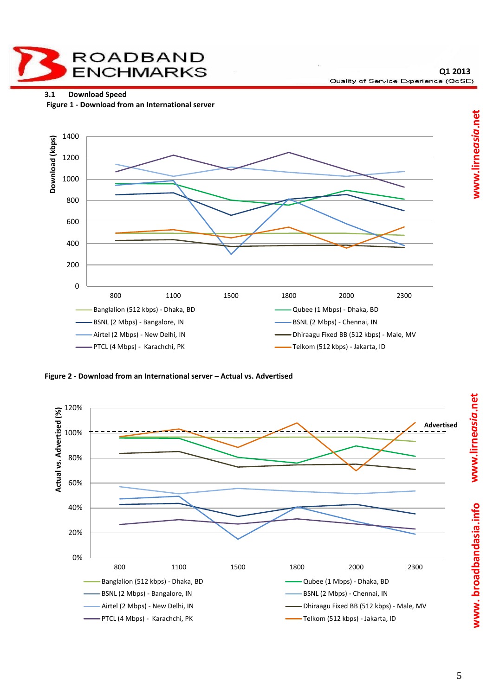**ROADBAND ENCHMARKS** 

**Q1 2013** Quality of Service Experience (QoSE)

<span id="page-4-0"></span>**3.1 Download Speed** 

<span id="page-4-1"></span>

<span id="page-4-2"></span>**Figure 2 - Download from an International server – Actual vs. Advertised** 



**www. broadbandasia.info www.lirne***asia***.net www. broadbandasia.info www.lirne***asia***.net**www.lirneasia.net www.broadbandasia.info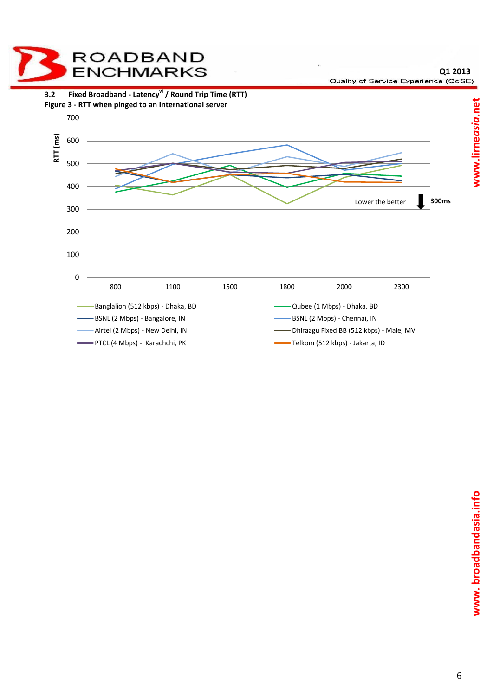<span id="page-5-1"></span><span id="page-5-0"></span>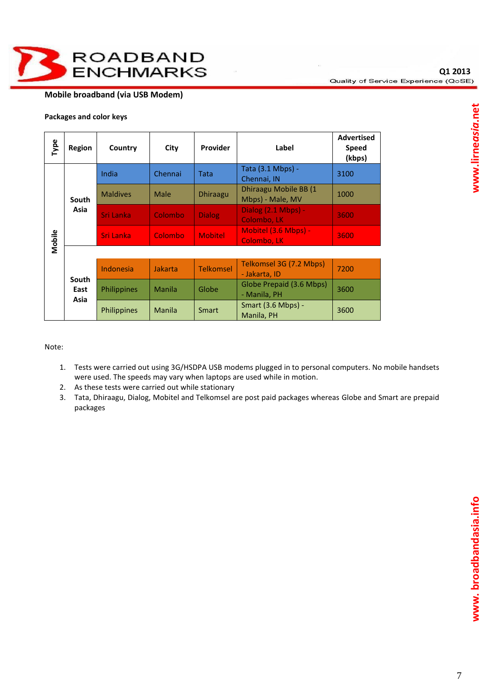

## **Mobile broadband (via USB Modem)**

| Type   | Region                | Country            | City    | <b>Provider</b>  | Label                                     | <b>Advertised</b><br><b>Speed</b><br>(kbps) |
|--------|-----------------------|--------------------|---------|------------------|-------------------------------------------|---------------------------------------------|
|        |                       | India              | Chennai | Tata             | Tata (3.1 Mbps) -<br>Chennai, IN          | 3100                                        |
|        | South                 | <b>Maldives</b>    | Male    | <b>Dhiraagu</b>  | Dhiraagu Mobile BB (1<br>Mbps) - Male, MV | 1000                                        |
|        | Asia                  | Sri Lanka          | Colombo | <b>Dialog</b>    | Dialog (2.1 Mbps) -<br>Colombo, LK        | 3600                                        |
| Mobile |                       | Sri Lanka          | Colombo | <b>Mobitel</b>   | Mobitel (3.6 Mbps) -<br>Colombo, LK       | 3600                                        |
|        |                       |                    |         |                  |                                           |                                             |
|        | South<br>East<br>Asia | Indonesia          | Jakarta | <b>Telkomsel</b> | Telkomsel 3G (7.2 Mbps)<br>- Jakarta, ID  | 7200                                        |
|        |                       | <b>Philippines</b> | Manila  | Globe            | Globe Prepaid (3.6 Mbps)<br>- Manila, PH  | 3600                                        |
|        |                       | <b>Philippines</b> | Manila  | <b>Smart</b>     | <b>Smart (3.6 Mbps) -</b><br>Manila, PH   | 3600                                        |

**Packages and color keys**

Note:

- 1. Tests were carried out using 3G/HSDPA USB modems plugged in to personal computers. No mobile handsets were used. The speeds may vary when laptops are used while in motion.
- 2. As these tests were carried out while stationary
- 3. Tata, Dhiraagu, Dialog, Mobitel and Telkomsel are post paid packages whereas Globe and Smart are prepaid packages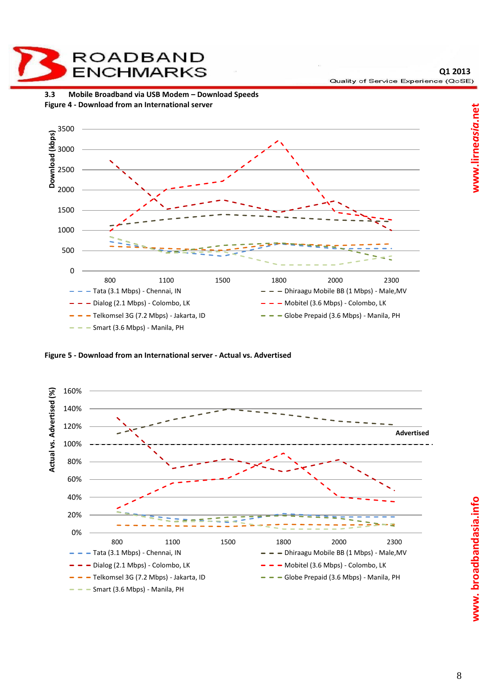<span id="page-7-1"></span><span id="page-7-0"></span>

**ROADBAND** 

<span id="page-7-2"></span>**Figure 5 - Download from an International server - Actual vs. Advertised**

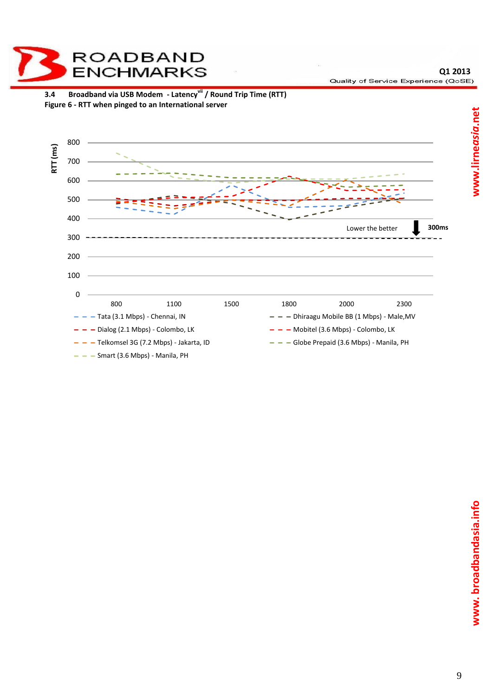<span id="page-8-1"></span><span id="page-8-0"></span>

**ROADBAND**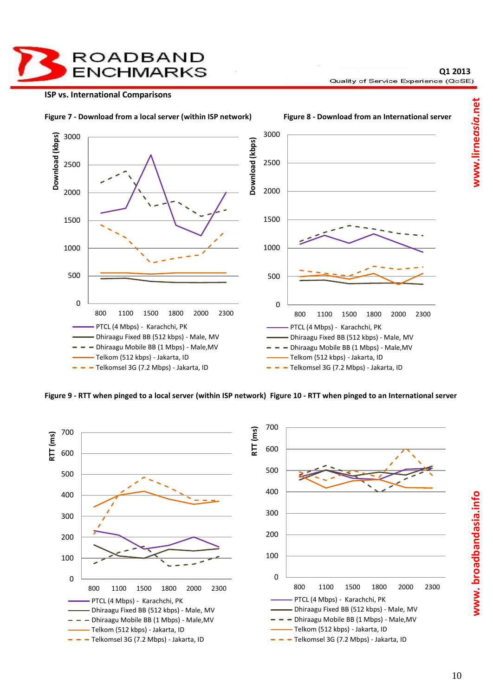**ROADBAND ENCHMARKS** 

#### **ISP vs. International Comparisons**

**Q1 2013** Quality of Service Experience (QoSE)

<span id="page-9-0"></span>

<span id="page-9-1"></span>**Figure 9 - RTT when pinged to a local server (within ISP network) Figure 10 - RTT when pinged to an International server**